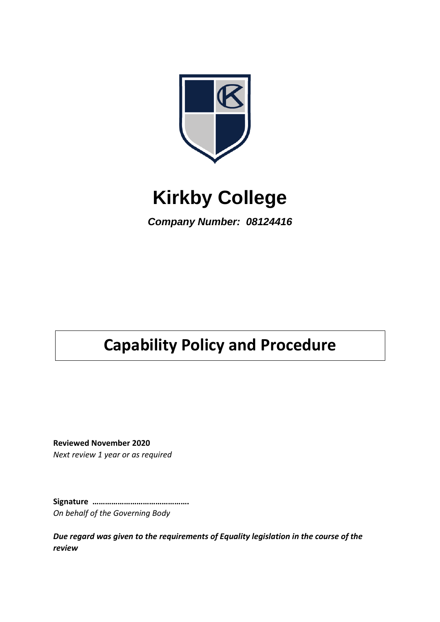

# **Kirkby College**

*Company Number: 08124416*

# **Capability Policy and Procedure**

**Reviewed November 2020** *Next review 1 year or as required*

**Signature ……………………………………….**

*On behalf of the Governing Body*

*Due regard was given to the requirements of Equality legislation in the course of the review*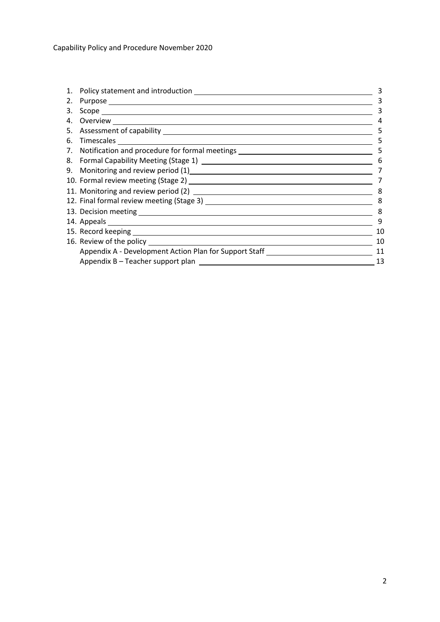| 1. | Policy statement and introduction                                                |    |
|----|----------------------------------------------------------------------------------|----|
| 2. |                                                                                  | 3  |
| 3. |                                                                                  | 3  |
| 4. |                                                                                  | 4  |
| 5. |                                                                                  | 5  |
| 6. |                                                                                  | 5  |
|    | 7. Notification and procedure for formal meetings ______________________________ | 5  |
|    |                                                                                  | 6  |
|    |                                                                                  |    |
|    |                                                                                  |    |
|    |                                                                                  |    |
|    |                                                                                  | 8  |
|    |                                                                                  | 8  |
|    |                                                                                  | 9  |
|    |                                                                                  | 10 |
|    |                                                                                  | 10 |
|    | Appendix A - Development Action Plan for Support Staff                           | 11 |
|    |                                                                                  | 13 |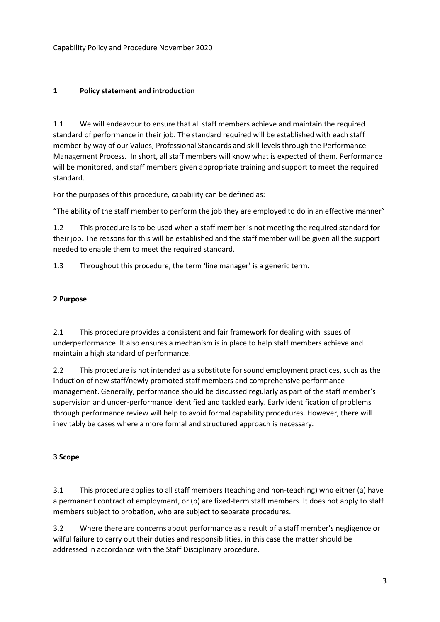## **1 Policy statement and introduction**

1.1 We will endeavour to ensure that all staff members achieve and maintain the required standard of performance in their job. The standard required will be established with each staff member by way of our Values, Professional Standards and skill levels through the Performance Management Process. In short, all staff members will know what is expected of them. Performance will be monitored, and staff members given appropriate training and support to meet the required standard.

For the purposes of this procedure, capability can be defined as:

"The ability of the staff member to perform the job they are employed to do in an effective manner"

1.2 This procedure is to be used when a staff member is not meeting the required standard for their job. The reasons for this will be established and the staff member will be given all the support needed to enable them to meet the required standard.

1.3 Throughout this procedure, the term 'line manager' is a generic term.

#### **2 Purpose**

2.1 This procedure provides a consistent and fair framework for dealing with issues of underperformance. It also ensures a mechanism is in place to help staff members achieve and maintain a high standard of performance.

2.2 This procedure is not intended as a substitute for sound employment practices, such as the induction of new staff/newly promoted staff members and comprehensive performance management. Generally, performance should be discussed regularly as part of the staff member's supervision and under-performance identified and tackled early. Early identification of problems through performance review will help to avoid formal capability procedures. However, there will inevitably be cases where a more formal and structured approach is necessary.

#### **3 Scope**

3.1 This procedure applies to all staff members (teaching and non-teaching) who either (a) have a permanent contract of employment, or (b) are fixed-term staff members. It does not apply to staff members subject to probation, who are subject to separate procedures.

3.2 Where there are concerns about performance as a result of a staff member's negligence or wilful failure to carry out their duties and responsibilities, in this case the matter should be addressed in accordance with the Staff Disciplinary procedure.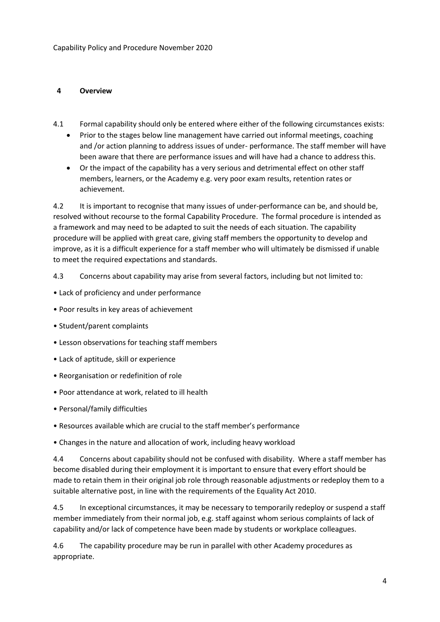#### **4 Overview**

- 4.1 Formal capability should only be entered where either of the following circumstances exists:
	- Prior to the stages below line management have carried out informal meetings, coaching and /or action planning to address issues of under- performance. The staff member will have been aware that there are performance issues and will have had a chance to address this.
	- Or the impact of the capability has a very serious and detrimental effect on other staff members, learners, or the Academy e.g. very poor exam results, retention rates or achievement.

4.2 It is important to recognise that many issues of under-performance can be, and should be, resolved without recourse to the formal Capability Procedure. The formal procedure is intended as a framework and may need to be adapted to suit the needs of each situation. The capability procedure will be applied with great care, giving staff members the opportunity to develop and improve, as it is a difficult experience for a staff member who will ultimately be dismissed if unable to meet the required expectations and standards.

4.3 Concerns about capability may arise from several factors, including but not limited to:

- Lack of proficiency and under performance
- Poor results in key areas of achievement
- Student/parent complaints
- Lesson observations for teaching staff members
- Lack of aptitude, skill or experience
- Reorganisation or redefinition of role
- Poor attendance at work, related to ill health
- Personal/family difficulties
- Resources available which are crucial to the staff member's performance
- Changes in the nature and allocation of work, including heavy workload

4.4 Concerns about capability should not be confused with disability. Where a staff member has become disabled during their employment it is important to ensure that every effort should be made to retain them in their original job role through reasonable adjustments or redeploy them to a suitable alternative post, in line with the requirements of the Equality Act 2010.

4.5 In exceptional circumstances, it may be necessary to temporarily redeploy or suspend a staff member immediately from their normal job, e.g. staff against whom serious complaints of lack of capability and/or lack of competence have been made by students or workplace colleagues.

4.6 The capability procedure may be run in parallel with other Academy procedures as appropriate.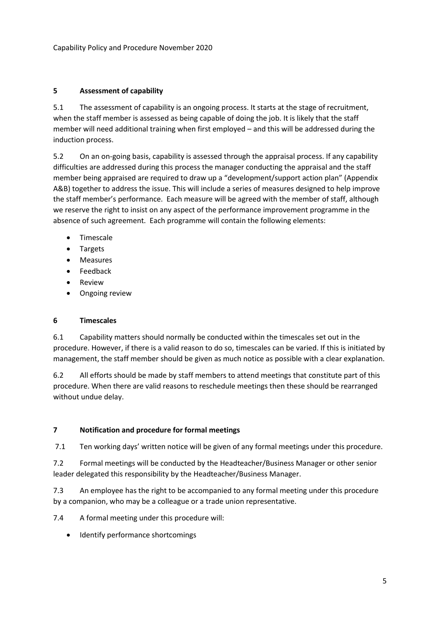#### **5 Assessment of capability**

5.1 The assessment of capability is an ongoing process. It starts at the stage of recruitment, when the staff member is assessed as being capable of doing the job. It is likely that the staff member will need additional training when first employed – and this will be addressed during the induction process.

5.2 On an on-going basis, capability is assessed through the appraisal process. If any capability difficulties are addressed during this process the manager conducting the appraisal and the staff member being appraised are required to draw up a "development/support action plan" (Appendix A&B) together to address the issue. This will include a series of measures designed to help improve the staff member's performance. Each measure will be agreed with the member of staff, although we reserve the right to insist on any aspect of the performance improvement programme in the absence of such agreement. Each programme will contain the following elements:

- Timescale
- Targets
- Measures
- Feedback
- Review
- Ongoing review

#### **6 Timescales**

6.1 Capability matters should normally be conducted within the timescales set out in the procedure. However, if there is a valid reason to do so, timescales can be varied. If this is initiated by management, the staff member should be given as much notice as possible with a clear explanation.

6.2 All efforts should be made by staff members to attend meetings that constitute part of this procedure. When there are valid reasons to reschedule meetings then these should be rearranged without undue delay.

#### **7 Notification and procedure for formal meetings**

7.1 Ten working days' written notice will be given of any formal meetings under this procedure.

7.2 Formal meetings will be conducted by the Headteacher/Business Manager or other senior leader delegated this responsibility by the Headteacher/Business Manager.

7.3 An employee has the right to be accompanied to any formal meeting under this procedure by a companion, who may be a colleague or a trade union representative.

7.4 A formal meeting under this procedure will:

• Identify performance shortcomings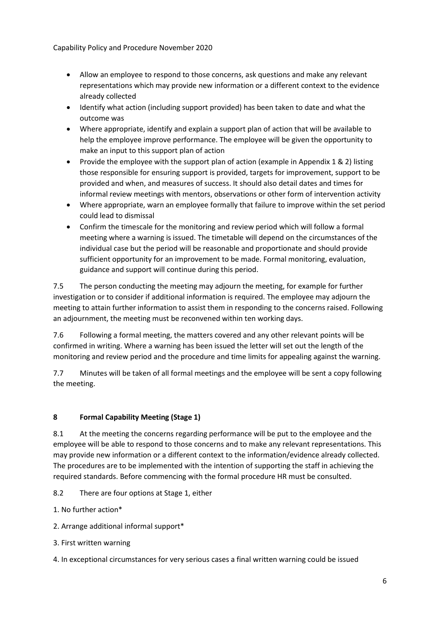Capability Policy and Procedure November 2020

- Allow an employee to respond to those concerns, ask questions and make any relevant representations which may provide new information or a different context to the evidence already collected
- Identify what action (including support provided) has been taken to date and what the outcome was
- Where appropriate, identify and explain a support plan of action that will be available to help the employee improve performance. The employee will be given the opportunity to make an input to this support plan of action
- Provide the employee with the support plan of action (example in Appendix 1 & 2) listing those responsible for ensuring support is provided, targets for improvement, support to be provided and when, and measures of success. It should also detail dates and times for informal review meetings with mentors, observations or other form of intervention activity
- Where appropriate, warn an employee formally that failure to improve within the set period could lead to dismissal
- Confirm the timescale for the monitoring and review period which will follow a formal meeting where a warning is issued. The timetable will depend on the circumstances of the individual case but the period will be reasonable and proportionate and should provide sufficient opportunity for an improvement to be made. Formal monitoring, evaluation, guidance and support will continue during this period.

7.5 The person conducting the meeting may adjourn the meeting, for example for further investigation or to consider if additional information is required. The employee may adjourn the meeting to attain further information to assist them in responding to the concerns raised. Following an adjournment, the meeting must be reconvened within ten working days.

7.6 Following a formal meeting, the matters covered and any other relevant points will be confirmed in writing. Where a warning has been issued the letter will set out the length of the monitoring and review period and the procedure and time limits for appealing against the warning.

7.7 Minutes will be taken of all formal meetings and the employee will be sent a copy following the meeting.

# **8 Formal Capability Meeting (Stage 1)**

8.1 At the meeting the concerns regarding performance will be put to the employee and the employee will be able to respond to those concerns and to make any relevant representations. This may provide new information or a different context to the information/evidence already collected. The procedures are to be implemented with the intention of supporting the staff in achieving the required standards. Before commencing with the formal procedure HR must be consulted.

8.2 There are four options at Stage 1, either

1. No further action\*

2. Arrange additional informal support\*

3. First written warning

4. In exceptional circumstances for very serious cases a final written warning could be issued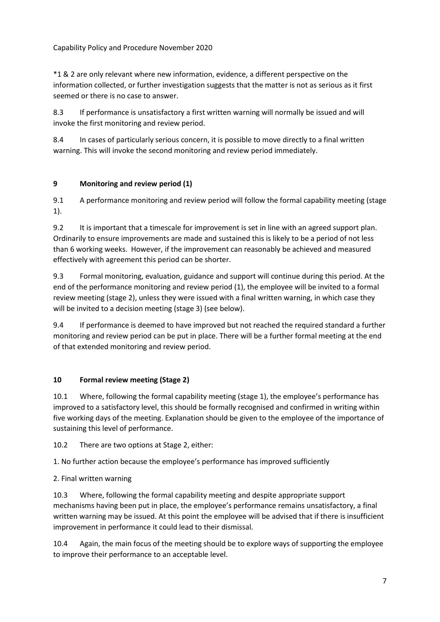#### Capability Policy and Procedure November 2020

\*1 & 2 are only relevant where new information, evidence, a different perspective on the information collected, or further investigation suggests that the matter is not as serious as it first seemed or there is no case to answer.

8.3 If performance is unsatisfactory a first written warning will normally be issued and will invoke the first monitoring and review period.

8.4 In cases of particularly serious concern, it is possible to move directly to a final written warning. This will invoke the second monitoring and review period immediately.

#### **9 Monitoring and review period (1)**

9.1 A performance monitoring and review period will follow the formal capability meeting (stage 1).

9.2 It is important that a timescale for improvement is set in line with an agreed support plan. Ordinarily to ensure improvements are made and sustained this is likely to be a period of not less than 6 working weeks. However, if the improvement can reasonably be achieved and measured effectively with agreement this period can be shorter.

9.3 Formal monitoring, evaluation, guidance and support will continue during this period. At the end of the performance monitoring and review period (1), the employee will be invited to a formal review meeting (stage 2), unless they were issued with a final written warning, in which case they will be invited to a decision meeting (stage 3) (see below).

9.4 If performance is deemed to have improved but not reached the required standard a further monitoring and review period can be put in place. There will be a further formal meeting at the end of that extended monitoring and review period.

# **10 Formal review meeting (Stage 2)**

10.1 Where, following the formal capability meeting (stage 1), the employee's performance has improved to a satisfactory level, this should be formally recognised and confirmed in writing within five working days of the meeting. Explanation should be given to the employee of the importance of sustaining this level of performance.

10.2 There are two options at Stage 2, either:

1. No further action because the employee's performance has improved sufficiently

# 2. Final written warning

10.3 Where, following the formal capability meeting and despite appropriate support mechanisms having been put in place, the employee's performance remains unsatisfactory, a final written warning may be issued. At this point the employee will be advised that if there is insufficient improvement in performance it could lead to their dismissal.

10.4 Again, the main focus of the meeting should be to explore ways of supporting the employee to improve their performance to an acceptable level.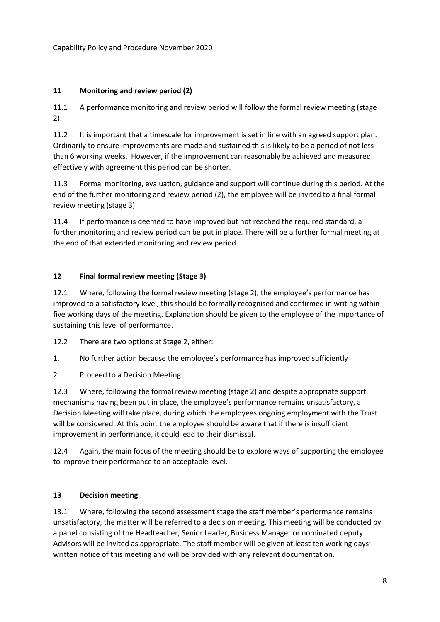## **11 Monitoring and review period (2)**

11.1 A performance monitoring and review period will follow the formal review meeting (stage 2).

11.2 It is important that a timescale for improvement is set in line with an agreed support plan. Ordinarily to ensure improvements are made and sustained this is likely to be a period of not less than 6 working weeks. However, if the improvement can reasonably be achieved and measured effectively with agreement this period can be shorter.

11.3 Formal monitoring, evaluation, guidance and support will continue during this period. At the end of the further monitoring and review period (2), the employee will be invited to a final formal review meeting (stage 3).

11.4 If performance is deemed to have improved but not reached the required standard, a further monitoring and review period can be put in place. There will be a further formal meeting at the end of that extended monitoring and review period.

#### **12 Final formal review meeting (Stage 3)**

12.1 Where, following the formal review meeting (stage 2), the employee's performance has improved to a satisfactory level, this should be formally recognised and confirmed in writing within five working days of the meeting. Explanation should be given to the employee of the importance of sustaining this level of performance.

12.2 There are two options at Stage 2, either:

- 1. No further action because the employee's performance has improved sufficiently
- 2. Proceed to a Decision Meeting

12.3 Where, following the formal review meeting (stage 2) and despite appropriate support mechanisms having been put in place, the employee's performance remains unsatisfactory, a Decision Meeting will take place, during which the employees ongoing employment with the Trust will be considered. At this point the employee should be aware that if there is insufficient improvement in performance, it could lead to their dismissal.

12.4 Again, the main focus of the meeting should be to explore ways of supporting the employee to improve their performance to an acceptable level.

#### **13 Decision meeting**

13.1 Where, following the second assessment stage the staff member's performance remains unsatisfactory, the matter will be referred to a decision meeting. This meeting will be conducted by a panel consisting of the Headteacher, Senior Leader, Business Manager or nominated deputy. Advisors will be invited as appropriate. The staff member will be given at least ten working days' written notice of this meeting and will be provided with any relevant documentation.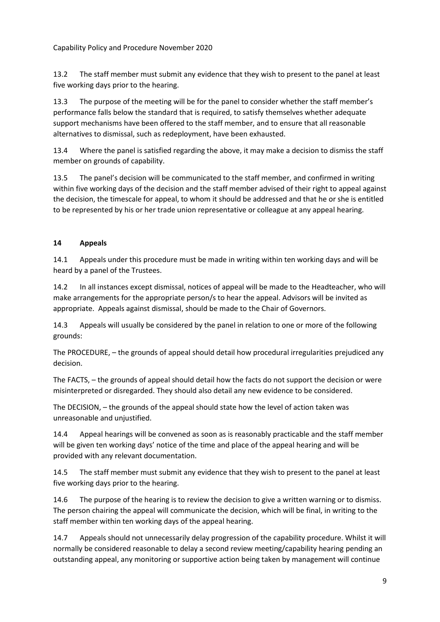13.2 The staff member must submit any evidence that they wish to present to the panel at least five working days prior to the hearing.

13.3 The purpose of the meeting will be for the panel to consider whether the staff member's performance falls below the standard that is required, to satisfy themselves whether adequate support mechanisms have been offered to the staff member, and to ensure that all reasonable alternatives to dismissal, such as redeployment, have been exhausted.

13.4 Where the panel is satisfied regarding the above, it may make a decision to dismiss the staff member on grounds of capability.

13.5 The panel's decision will be communicated to the staff member, and confirmed in writing within five working days of the decision and the staff member advised of their right to appeal against the decision, the timescale for appeal, to whom it should be addressed and that he or she is entitled to be represented by his or her trade union representative or colleague at any appeal hearing.

#### **14 Appeals**

14.1 Appeals under this procedure must be made in writing within ten working days and will be heard by a panel of the Trustees.

14.2 In all instances except dismissal, notices of appeal will be made to the Headteacher, who will make arrangements for the appropriate person/s to hear the appeal. Advisors will be invited as appropriate. Appeals against dismissal, should be made to the Chair of Governors.

14.3 Appeals will usually be considered by the panel in relation to one or more of the following grounds:

The PROCEDURE, – the grounds of appeal should detail how procedural irregularities prejudiced any decision.

The FACTS, – the grounds of appeal should detail how the facts do not support the decision or were misinterpreted or disregarded. They should also detail any new evidence to be considered.

The DECISION, – the grounds of the appeal should state how the level of action taken was unreasonable and unjustified.

14.4 Appeal hearings will be convened as soon as is reasonably practicable and the staff member will be given ten working days' notice of the time and place of the appeal hearing and will be provided with any relevant documentation.

14.5 The staff member must submit any evidence that they wish to present to the panel at least five working days prior to the hearing.

14.6 The purpose of the hearing is to review the decision to give a written warning or to dismiss. The person chairing the appeal will communicate the decision, which will be final, in writing to the staff member within ten working days of the appeal hearing.

14.7 Appeals should not unnecessarily delay progression of the capability procedure. Whilst it will normally be considered reasonable to delay a second review meeting/capability hearing pending an outstanding appeal, any monitoring or supportive action being taken by management will continue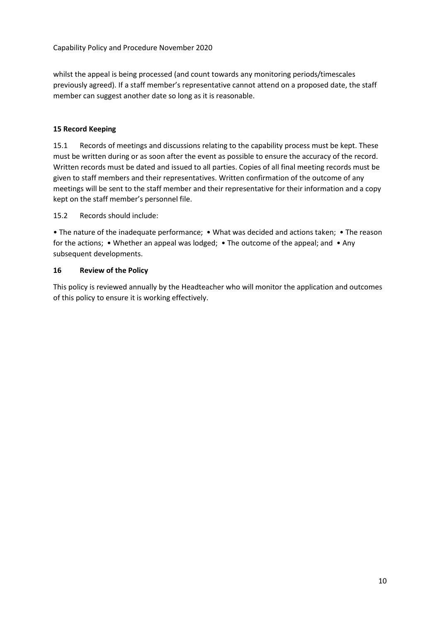whilst the appeal is being processed (and count towards any monitoring periods/timescales previously agreed). If a staff member's representative cannot attend on a proposed date, the staff member can suggest another date so long as it is reasonable.

#### **15 Record Keeping**

15.1 Records of meetings and discussions relating to the capability process must be kept. These must be written during or as soon after the event as possible to ensure the accuracy of the record. Written records must be dated and issued to all parties. Copies of all final meeting records must be given to staff members and their representatives. Written confirmation of the outcome of any meetings will be sent to the staff member and their representative for their information and a copy kept on the staff member's personnel file.

15.2 Records should include:

• The nature of the inadequate performance; • What was decided and actions taken; • The reason for the actions; • Whether an appeal was lodged; • The outcome of the appeal; and • Any subsequent developments.

#### **16 Review of the Policy**

This policy is reviewed annually by the Headteacher who will monitor the application and outcomes of this policy to ensure it is working effectively.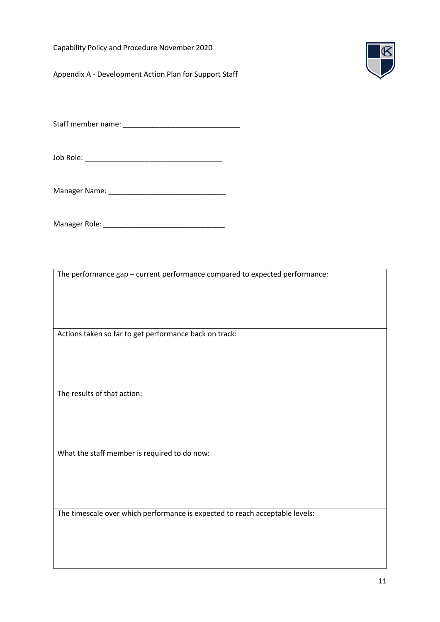Capability Policy and Procedure November 2020

Appendix A - Development Action Plan for Support Staff



Staff member name: \_\_\_\_\_\_\_\_\_\_\_\_\_\_\_\_\_\_\_\_\_\_\_\_\_\_\_\_\_

Job Role: \_\_\_\_\_\_\_\_\_\_\_\_\_\_\_\_\_\_\_\_\_\_\_\_\_\_\_\_\_\_\_\_\_\_

Manager Name: \_\_\_\_\_\_\_\_\_\_\_\_\_\_\_\_\_\_\_\_\_\_\_\_\_\_\_\_\_

Manager Role: \_\_\_\_\_\_\_\_\_\_\_\_\_\_\_\_\_\_\_\_\_\_\_\_\_\_\_\_\_\_

The performance gap – current performance compared to expected performance:

Actions taken so far to get performance back on track:

The results of that action:

What the staff member is required to do now:

The timescale over which performance is expected to reach acceptable levels: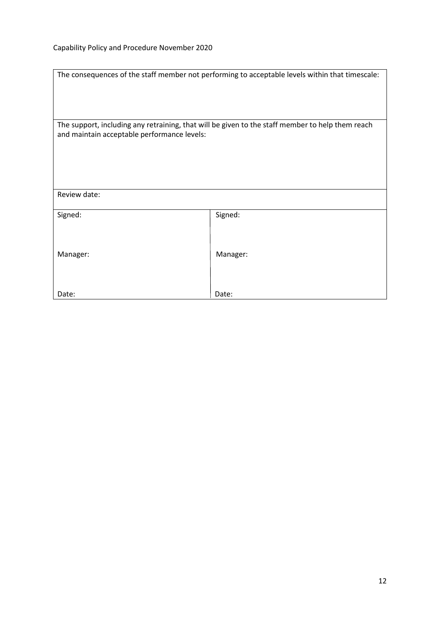| The consequences of the staff member not performing to acceptable levels within that timescale:  |          |  |  |  |
|--------------------------------------------------------------------------------------------------|----------|--|--|--|
| The support, including any retraining, that will be given to the staff member to help them reach |          |  |  |  |
| and maintain acceptable performance levels:                                                      |          |  |  |  |
|                                                                                                  |          |  |  |  |
| Review date:                                                                                     |          |  |  |  |
| Signed:                                                                                          | Signed:  |  |  |  |
| Manager:                                                                                         | Manager: |  |  |  |
| Date:                                                                                            | Date:    |  |  |  |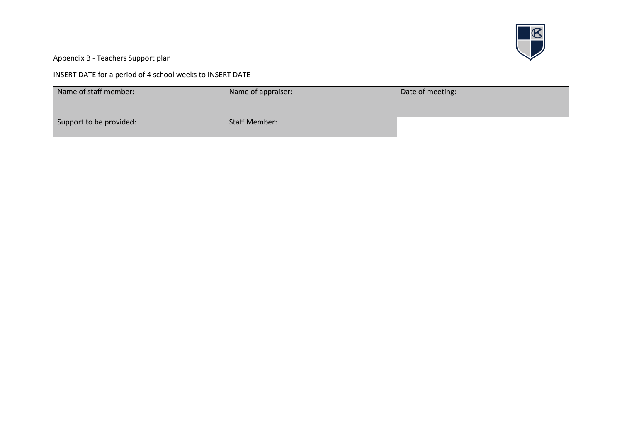

Appendix B - Teachers Support plan

INSERT DATE for a period of 4 school weeks to INSERT DATE

| Name of staff member:   | Name of appraiser:   | Date of meeting: |
|-------------------------|----------------------|------------------|
| Support to be provided: | <b>Staff Member:</b> |                  |
|                         |                      |                  |
|                         |                      |                  |
|                         |                      |                  |
|                         |                      |                  |
|                         |                      |                  |
|                         |                      |                  |
|                         |                      |                  |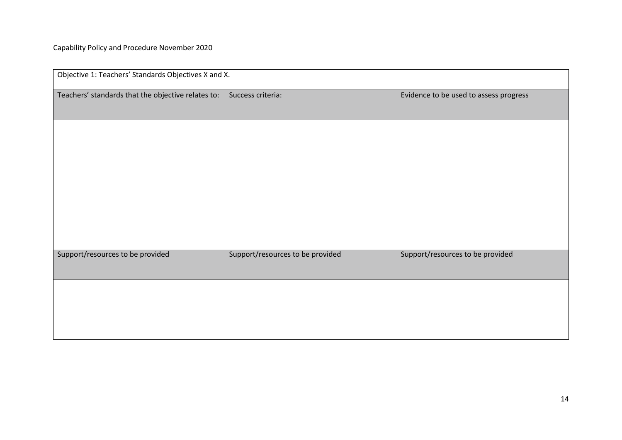| Objective 1: Teachers' Standards Objectives X and X. |                                  |                                        |  |  |
|------------------------------------------------------|----------------------------------|----------------------------------------|--|--|
| Teachers' standards that the objective relates to:   | Success criteria:                | Evidence to be used to assess progress |  |  |
|                                                      |                                  |                                        |  |  |
|                                                      |                                  |                                        |  |  |
|                                                      |                                  |                                        |  |  |
|                                                      |                                  |                                        |  |  |
|                                                      |                                  |                                        |  |  |
| Support/resources to be provided                     | Support/resources to be provided | Support/resources to be provided       |  |  |
|                                                      |                                  |                                        |  |  |
|                                                      |                                  |                                        |  |  |
|                                                      |                                  |                                        |  |  |